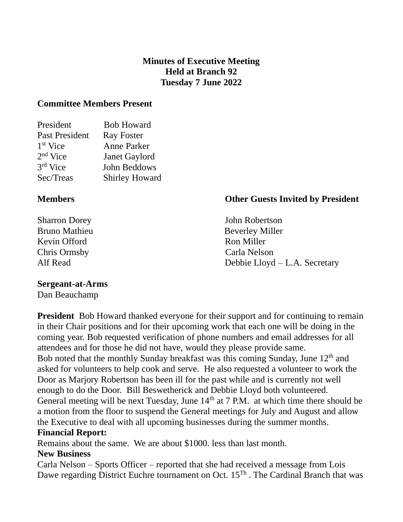## **Minutes of Executive Meeting Held at Branch 92 Tuesday 7 June 2022**

#### **Committee Members Present**

| President            | <b>Bob Howard</b>     |
|----------------------|-----------------------|
| Past President       | <b>Ray Foster</b>     |
| 1 <sup>st</sup> Vice | <b>Anne Parker</b>    |
| $2nd$ Vice           | Janet Gaylord         |
| $3rd$ Vice           | John Beddows          |
| Sec/Treas            | <b>Shirley Howard</b> |
|                      |                       |

Kevin Offord **Ron Miller** Chris Ormsby Carla Nelson

# **Members Other Guests Invited by President**

Sharron Dorey **John Robertson** Bruno Mathieu Beverley Miller Alf Read Debbie Lloyd – L.A. Secretary

## **Sergeant-at-Arms**

Dan Beauchamp

**President** Bob Howard thanked everyone for their support and for continuing to remain in their Chair positions and for their upcoming work that each one will be doing in the coming year. Bob requested verification of phone numbers and email addresses for all attendees and for those he did not have, would they please provide same. Bob noted that the monthly Sunday breakfast was this coming Sunday, June  $12<sup>th</sup>$  and asked for volunteers to help cook and serve. He also requested a volunteer to work the Door as Marjory Robertson has been ill for the past while and is currently not well enough to do the Door. Bill Beswetherick and Debbie Lloyd both volunteered. General meeting will be next Tuesday, June  $14<sup>th</sup>$  at 7 P.M. at which time there should be a motion from the floor to suspend the General meetings for July and August and allow the Executive to deal with all upcoming businesses during the summer months. **Financial Report:**

Remains about the same. We are about \$1000. less than last month.

## **New Business**

Carla Nelson – Sports Officer – reported that she had received a message from Lois Dawe regarding District Euchre tournament on Oct.  $15<sup>Th</sup>$ . The Cardinal Branch that was